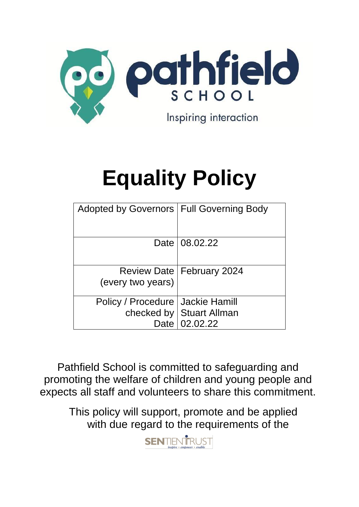

# **Equality Policy**

| Adopted by Governors   Full Governing Body |                                    |
|--------------------------------------------|------------------------------------|
|                                            | Date 08.02.22                      |
| (every two years)                          | <b>Review Date   February 2024</b> |
| Policy / Procedure   Jackie Hamill         |                                    |
|                                            | checked by   Stuart Allman         |
|                                            | Date   02.02.22                    |

Pathfield School is committed to safeguarding and promoting the welfare of children and young people and expects all staff and volunteers to share this commitment.

> This policy will support, promote and be applied with due regard to the requirements of the

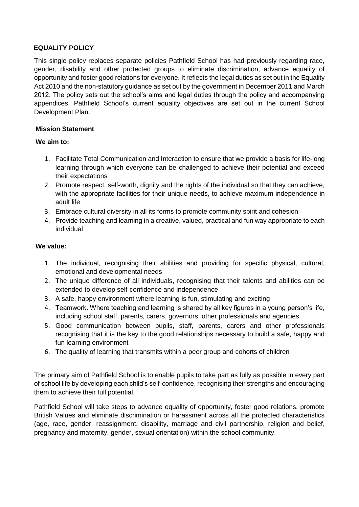# **EQUALITY POLICY**

This single policy replaces separate policies Pathfield School has had previously regarding race, gender, disability and other protected groups to eliminate discrimination, advance equality of opportunity and foster good relations for everyone. It reflects the legal duties as set out in the Equality Act 2010 and the non-statutory guidance as set out by the government in December 2011 and March 2012. The policy sets out the school's aims and legal duties through the policy and accompanying appendices. Pathfield School's current equality objectives are set out in the current School Development Plan.

#### **Mission Statement**

# **We aim to:**

- 1. Facilitate Total Communication and Interaction to ensure that we provide a basis for life-long learning through which everyone can be challenged to achieve their potential and exceed their expectations
- 2. Promote respect, self-worth, dignity and the rights of the individual so that they can achieve, with the appropriate facilities for their unique needs, to achieve maximum independence in adult life
- 3. Embrace cultural diversity in all its forms to promote community spirit and cohesion
- 4. Provide teaching and learning in a creative, valued, practical and fun way appropriate to each individual

# **We value:**

- 1. The individual, recognising their abilities and providing for specific physical, cultural, emotional and developmental needs
- 2. The unique difference of all individuals, recognising that their talents and abilities can be extended to develop self-confidence and independence
- 3. A safe, happy environment where learning is fun, stimulating and exciting
- 4. Teamwork. Where teaching and learning is shared by all key figures in a young person's life, including school staff, parents, carers, governors, other professionals and agencies
- 5. Good communication between pupils, staff, parents, carers and other professionals recognising that it is the key to the good relationships necessary to build a safe, happy and fun learning environment
- 6. The quality of learning that transmits within a peer group and cohorts of children

The primary aim of Pathfield School is to enable pupils to take part as fully as possible in every part of school life by developing each child's self-confidence, recognising their strengths and encouraging them to achieve their full potential.

Pathfield School will take steps to advance equality of opportunity, foster good relations, promote British Values and eliminate discrimination or harassment across all the protected characteristics (age, race, gender, reassignment, disability, marriage and civil partnership, religion and belief, pregnancy and maternity, gender, sexual orientation) within the school community.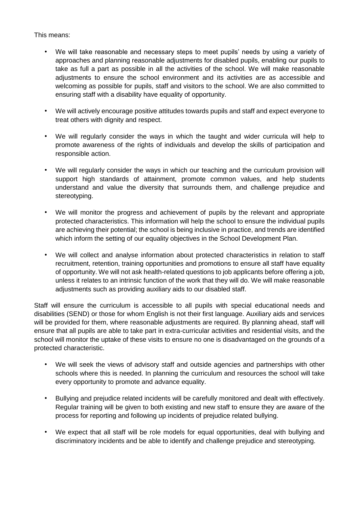## This means:

- We will take reasonable and necessary steps to meet pupils' needs by using a variety of approaches and planning reasonable adjustments for disabled pupils, enabling our pupils to take as full a part as possible in all the activities of the school. We will make reasonable adjustments to ensure the school environment and its activities are as accessible and welcoming as possible for pupils, staff and visitors to the school. We are also committed to ensuring staff with a disability have equality of opportunity.
- We will actively encourage positive attitudes towards pupils and staff and expect everyone to treat others with dignity and respect.
- We will regularly consider the ways in which the taught and wider curricula will help to promote awareness of the rights of individuals and develop the skills of participation and responsible action.
- We will regularly consider the ways in which our teaching and the curriculum provision will support high standards of attainment, promote common values, and help students understand and value the diversity that surrounds them, and challenge prejudice and stereotyping.
- We will monitor the progress and achievement of pupils by the relevant and appropriate protected characteristics. This information will help the school to ensure the individual pupils are achieving their potential; the school is being inclusive in practice, and trends are identified which inform the setting of our equality objectives in the School Development Plan.
- We will collect and analyse information about protected characteristics in relation to staff recruitment, retention, training opportunities and promotions to ensure all staff have equality of opportunity. We will not ask health-related questions to job applicants before offering a job, unless it relates to an intrinsic function of the work that they will do. We will make reasonable adjustments such as providing auxiliary aids to our disabled staff.

Staff will ensure the curriculum is accessible to all pupils with special educational needs and disabilities (SEND) or those for whom English is not their first language. Auxiliary aids and services will be provided for them, where reasonable adjustments are required. By planning ahead, staff will ensure that all pupils are able to take part in extra-curricular activities and residential visits, and the school will monitor the uptake of these visits to ensure no one is disadvantaged on the grounds of a protected characteristic.

- We will seek the views of advisory staff and outside agencies and partnerships with other schools where this is needed. In planning the curriculum and resources the school will take every opportunity to promote and advance equality.
- Bullying and prejudice related incidents will be carefully monitored and dealt with effectively. Regular training will be given to both existing and new staff to ensure they are aware of the process for reporting and following up incidents of prejudice related bullying.
- We expect that all staff will be role models for equal opportunities, deal with bullying and discriminatory incidents and be able to identify and challenge prejudice and stereotyping.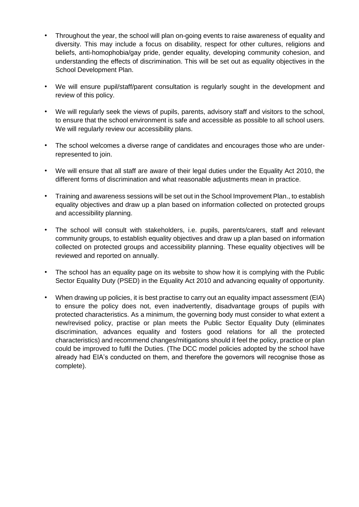- Throughout the year, the school will plan on-going events to raise awareness of equality and diversity. This may include a focus on disability, respect for other cultures, religions and beliefs, anti-homophobia/gay pride, gender equality, developing community cohesion, and understanding the effects of discrimination. This will be set out as equality objectives in the School Development Plan.
- We will ensure pupil/staff/parent consultation is regularly sought in the development and review of this policy.
- We will regularly seek the views of pupils, parents, advisory staff and visitors to the school, to ensure that the school environment is safe and accessible as possible to all school users. We will regularly review our accessibility plans.
- The school welcomes a diverse range of candidates and encourages those who are underrepresented to join.
- We will ensure that all staff are aware of their legal duties under the Equality Act 2010, the different forms of discrimination and what reasonable adjustments mean in practice.
- Training and awareness sessions will be set out in the School Improvement Plan., to establish equality objectives and draw up a plan based on information collected on protected groups and accessibility planning.
- The school will consult with stakeholders, i.e. pupils, parents/carers, staff and relevant community groups, to establish equality objectives and draw up a plan based on information collected on protected groups and accessibility planning. These equality objectives will be reviewed and reported on annually.
- The school has an equality page on its website to show how it is complying with the Public Sector Equality Duty (PSED) in the Equality Act 2010 and advancing equality of opportunity.
- When drawing up policies, it is best practise to carry out an equality impact assessment (EIA) to ensure the policy does not, even inadvertently, disadvantage groups of pupils with protected characteristics. As a minimum, the governing body must consider to what extent a new/revised policy, practise or plan meets the Public Sector Equality Duty (eliminates discrimination, advances equality and fosters good relations for all the protected characteristics) and recommend changes/mitigations should it feel the policy, practice or plan could be improved to fulfil the Duties. (The DCC model policies adopted by the school have already had EIA's conducted on them, and therefore the governors will recognise those as complete).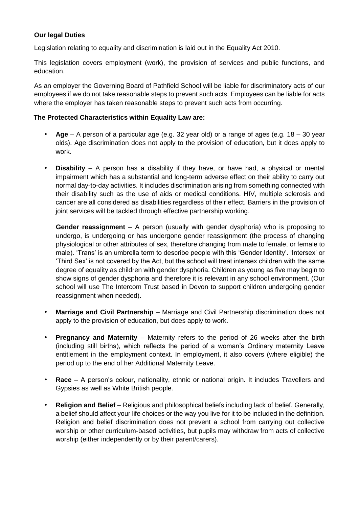# **Our legal Duties**

Legislation relating to equality and discrimination is laid out in the Equality Act 2010.

This legislation covers employment (work), the provision of services and public functions, and education.

As an employer the Governing Board of Pathfield School will be liable for discriminatory acts of our employees if we do not take reasonable steps to prevent such acts. Employees can be liable for acts where the employer has taken reasonable steps to prevent such acts from occurring.

## **The Protected Characteristics within Equality Law are:**

- **Age** A person of a particular age (e.g. 32 year old) or a range of ages (e.g. 18 30 year olds). Age discrimination does not apply to the provision of education, but it does apply to work.
- **Disability** A person has a disability if they have, or have had, a physical or mental impairment which has a substantial and long-term adverse effect on their ability to carry out normal day-to-day activities. It includes discrimination arising from something connected with their disability such as the use of aids or medical conditions. HIV, multiple sclerosis and cancer are all considered as disabilities regardless of their effect. Barriers in the provision of joint services will be tackled through effective partnership working.

**Gender reassignment** – A person (usually with gender dysphoria) who is proposing to undergo, is undergoing or has undergone gender reassignment (the process of changing physiological or other attributes of sex, therefore changing from male to female, or female to male). 'Trans' is an umbrella term to describe people with this 'Gender Identity'. 'Intersex' or 'Third Sex' is not covered by the Act, but the school will treat intersex children with the same degree of equality as children with gender dysphoria. Children as young as five may begin to show signs of gender dysphoria and therefore it is relevant in any school environment. (Our school will use The Intercom Trust based in Devon to support children undergoing gender reassignment when needed).

- **Marriage and Civil Partnership** Marriage and Civil Partnership discrimination does not apply to the provision of education, but does apply to work.
- **Pregnancy and Maternity** Maternity refers to the period of 26 weeks after the birth (including still births), which reflects the period of a woman's Ordinary maternity Leave entitlement in the employment context. In employment, it also covers (where eligible) the period up to the end of her Additional Maternity Leave.
- **Race** A person's colour, nationality, ethnic or national origin. It includes Travellers and Gypsies as well as White British people.
- **Religion and Belief** Religious and philosophical beliefs including lack of belief. Generally, a belief should affect your life choices or the way you live for it to be included in the definition. Religion and belief discrimination does not prevent a school from carrying out collective worship or other curriculum-based activities, but pupils may withdraw from acts of collective worship (either independently or by their parent/carers).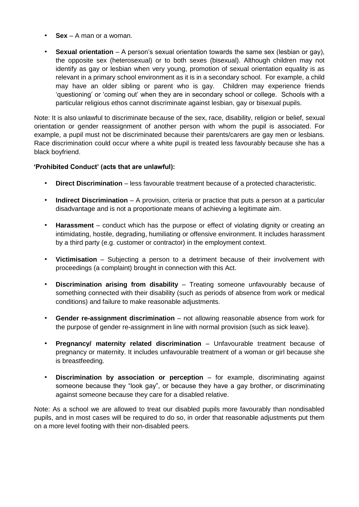- **Sex**  A man or a woman.
- **Sexual orientation** A person's sexual orientation towards the same sex (lesbian or gay), the opposite sex (heterosexual) or to both sexes (bisexual). Although children may not identify as gay or lesbian when very young, promotion of sexual orientation equality is as relevant in a primary school environment as it is in a secondary school. For example, a child may have an older sibling or parent who is gay. Children may experience friends 'questioning' or 'coming out' when they are in secondary school or college. Schools with a particular religious ethos cannot discriminate against lesbian, gay or bisexual pupils.

Note: It is also unlawful to discriminate because of the sex, race, disability, religion or belief, sexual orientation or gender reassignment of another person with whom the pupil is associated. For example, a pupil must not be discriminated because their parents/carers are gay men or lesbians. Race discrimination could occur where a white pupil is treated less favourably because she has a black boyfriend.

# **'Prohibited Conduct' (acts that are unlawful):**

- **Direct Discrimination** less favourable treatment because of a protected characteristic.
- **Indirect Discrimination** A provision, criteria or practice that puts a person at a particular disadvantage and is not a proportionate means of achieving a legitimate aim.
- **Harassment** conduct which has the purpose or effect of violating dignity or creating an intimidating, hostile, degrading, humiliating or offensive environment. It includes harassment by a third party (e.g. customer or contractor) in the employment context.
- **Victimisation** Subjecting a person to a detriment because of their involvement with proceedings (a complaint) brought in connection with this Act.
- **Discrimination arising from disability** Treating someone unfavourably because of something connected with their disability (such as periods of absence from work or medical conditions) and failure to make reasonable adjustments.
- **Gender re-assignment discrimination** not allowing reasonable absence from work for the purpose of gender re-assignment in line with normal provision (such as sick leave).
- **Pregnancy/ maternity related discrimination** Unfavourable treatment because of pregnancy or maternity. It includes unfavourable treatment of a woman or girl because she is breastfeeding.
- **Discrimination by association or perception** for example, discriminating against someone because they "look gay", or because they have a gay brother, or discriminating against someone because they care for a disabled relative.

Note: As a school we are allowed to treat our disabled pupils more favourably than nondisabled pupils, and in most cases will be required to do so, in order that reasonable adjustments put them on a more level footing with their non-disabled peers.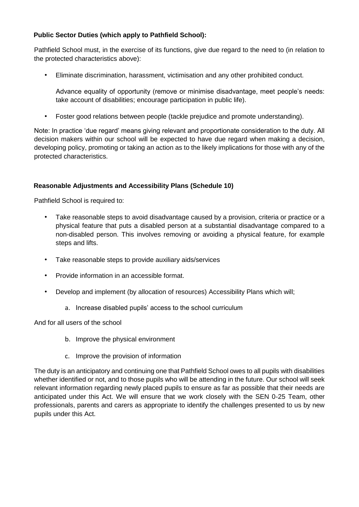# **Public Sector Duties (which apply to Pathfield School):**

Pathfield School must, in the exercise of its functions, give due regard to the need to (in relation to the protected characteristics above):

• Eliminate discrimination, harassment, victimisation and any other prohibited conduct.

Advance equality of opportunity (remove or minimise disadvantage, meet people's needs: take account of disabilities; encourage participation in public life).

• Foster good relations between people (tackle prejudice and promote understanding).

Note: In practice 'due regard' means giving relevant and proportionate consideration to the duty. All decision makers within our school will be expected to have due regard when making a decision, developing policy, promoting or taking an action as to the likely implications for those with any of the protected characteristics.

# **Reasonable Adjustments and Accessibility Plans (Schedule 10)**

Pathfield School is required to:

- Take reasonable steps to avoid disadvantage caused by a provision, criteria or practice or a physical feature that puts a disabled person at a substantial disadvantage compared to a non-disabled person. This involves removing or avoiding a physical feature, for example steps and lifts.
- Take reasonable steps to provide auxiliary aids/services
- Provide information in an accessible format.
- Develop and implement (by allocation of resources) Accessibility Plans which will;
	- a. Increase disabled pupils' access to the school curriculum

And for all users of the school

- b. Improve the physical environment
- c. Improve the provision of information

The duty is an anticipatory and continuing one that Pathfield School owes to all pupils with disabilities whether identified or not, and to those pupils who will be attending in the future. Our school will seek relevant information regarding newly placed pupils to ensure as far as possible that their needs are anticipated under this Act. We will ensure that we work closely with the SEN 0-25 Team, other professionals, parents and carers as appropriate to identify the challenges presented to us by new pupils under this Act.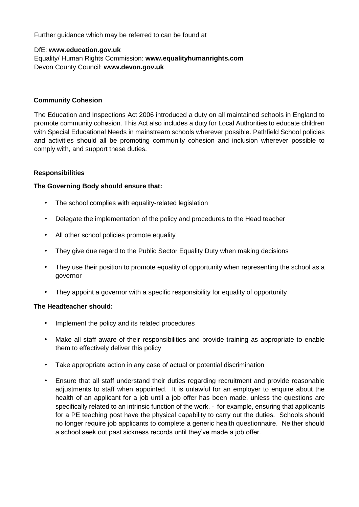Further guidance which may be referred to can be found at

#### DfE: **www.education.gov.uk**

Equality/ Human Rights Commission: **www.equalityhumanrights.com**  Devon County Council: **www.devon.gov.uk** 

#### **Community Cohesion**

The Education and Inspections Act 2006 introduced a duty on all maintained schools in England to promote community cohesion. This Act also includes a duty for Local Authorities to educate children with Special Educational Needs in mainstream schools wherever possible. Pathfield School policies and activities should all be promoting community cohesion and inclusion wherever possible to comply with, and support these duties.

#### **Responsibilities**

#### **The Governing Body should ensure that:**

- The school complies with equality-related legislation
- Delegate the implementation of the policy and procedures to the Head teacher
- All other school policies promote equality
- They give due regard to the Public Sector Equality Duty when making decisions
- They use their position to promote equality of opportunity when representing the school as a governor
- They appoint a governor with a specific responsibility for equality of opportunity

#### **The Headteacher should:**

- Implement the policy and its related procedures
- Make all staff aware of their responsibilities and provide training as appropriate to enable them to effectively deliver this policy
- Take appropriate action in any case of actual or potential discrimination
- Ensure that all staff understand their duties regarding recruitment and provide reasonable adjustments to staff when appointed. It is unlawful for an employer to enquire about the health of an applicant for a job until a job offer has been made, unless the questions are specifically related to an intrinsic function of the work. - for example, ensuring that applicants for a PE teaching post have the physical capability to carry out the duties. Schools should no longer require job applicants to complete a generic health questionnaire. Neither should a school seek out past sickness records until they've made a job offer.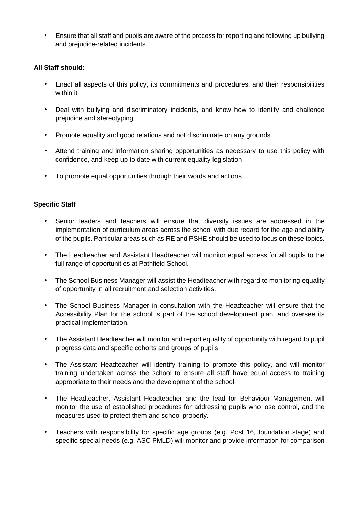• Ensure that all staff and pupils are aware of the process for reporting and following up bullying and prejudice-related incidents.

# **All Staff should:**

- Enact all aspects of this policy, its commitments and procedures, and their responsibilities within it
- Deal with bullying and discriminatory incidents, and know how to identify and challenge prejudice and stereotyping
- Promote equality and good relations and not discriminate on any grounds
- Attend training and information sharing opportunities as necessary to use this policy with confidence, and keep up to date with current equality legislation
- To promote equal opportunities through their words and actions

# **Specific Staff**

- Senior leaders and teachers will ensure that diversity issues are addressed in the implementation of curriculum areas across the school with due regard for the age and ability of the pupils. Particular areas such as RE and PSHE should be used to focus on these topics.
- The Headteacher and Assistant Headteacher will monitor equal access for all pupils to the full range of opportunities at Pathfield School.
- The School Business Manager will assist the Headteacher with regard to monitoring equality of opportunity in all recruitment and selection activities.
- The School Business Manager in consultation with the Headteacher will ensure that the Accessibility Plan for the school is part of the school development plan, and oversee its practical implementation.
- The Assistant Headteacher will monitor and report equality of opportunity with regard to pupil progress data and specific cohorts and groups of pupils
- The Assistant Headteacher will identify training to promote this policy, and will monitor training undertaken across the school to ensure all staff have equal access to training appropriate to their needs and the development of the school
- The Headteacher, Assistant Headteacher and the lead for Behaviour Management will monitor the use of established procedures for addressing pupils who lose control, and the measures used to protect them and school property.
- Teachers with responsibility for specific age groups (e.g. Post 16, foundation stage) and specific special needs (e.g. ASC PMLD) will monitor and provide information for comparison